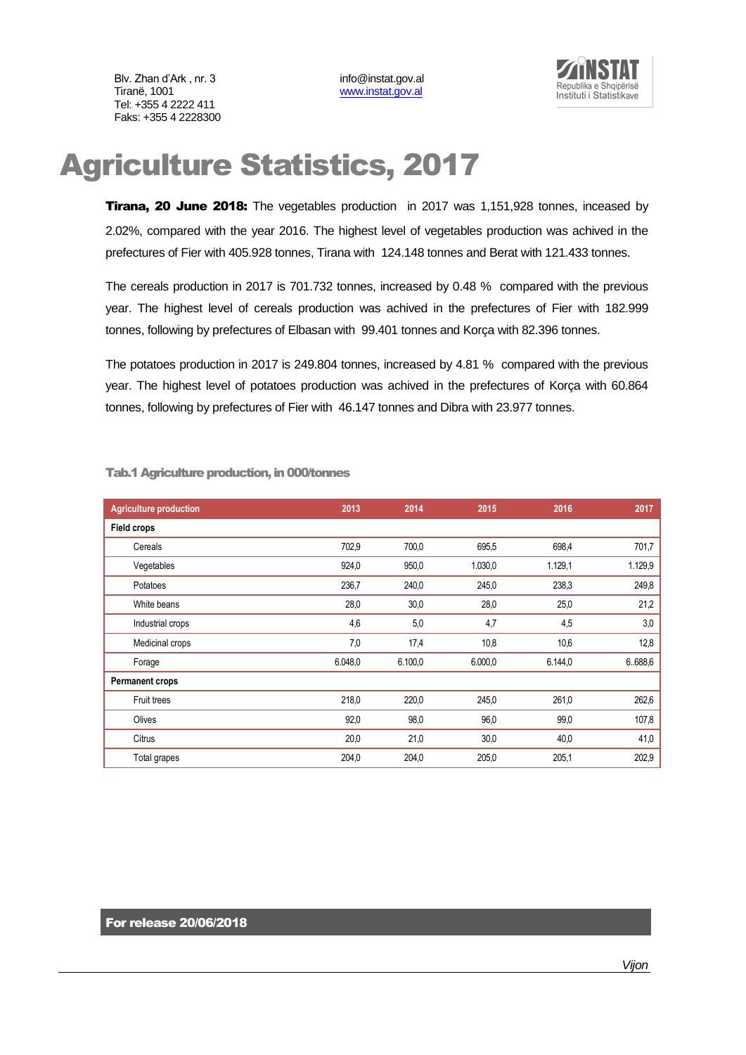Blv. Zhan d'Ark , nr. 3 info@instat.gov.al<br>Tiranë. 1001 info@instat.gov.al Tel: +355 4 2222 411 Faks: +355 4 2228300

[www.instat.gov.al](http://www.instat.gov.al/)



## Agriculture Statistics, 2017

**Tirana, 20 June 2018:** The vegetables production in 2017 was 1,151,928 tonnes, inceased by 2.02%, compared with the year 2016. The highest level of vegetables production was achived in the prefectures of Fier with 405.928 tonnes, Tirana with 124.148 tonnes and Berat with 121.433 tonnes.

The cereals production in 2017 is 701.732 tonnes, increased by 0.48 % compared with the previous year. The highest level of cereals production was achived in the prefectures of Fier with 182.999 tonnes, following by prefectures of Elbasan with 99.401 tonnes and Korça with 82.396 tonnes.

The potatoes production in 2017 is 249.804 tonnes, increased by 4.81 % compared with the previous year. The highest level of potatoes production was achived in the prefectures of Korça with 60.864 tonnes, following by prefectures of Fier with 46.147 tonnes and Dibra with 23.977 tonnes.

| <b>Agriculture production</b> | 2013    | 2014    | 2015    | 2016    | 2017    |
|-------------------------------|---------|---------|---------|---------|---------|
| <b>Field crops</b>            |         |         |         |         |         |
| Cereals                       | 702,9   | 700,0   | 695,5   | 698,4   | 701,7   |
| Vegetables                    | 924,0   | 950,0   | 1.030,0 | 1.129,1 | 1.129,9 |
| Potatoes                      | 236,7   | 240,0   | 245,0   | 238,3   | 249,8   |
| White beans                   | 28,0    | 30,0    | 28,0    | 25,0    | 21,2    |
| Industrial crops              | 4,6     | 5,0     | 4,7     | 4,5     | 3,0     |
| Medicinal crops               | 7,0     | 17,4    | 10,8    | 10,6    | 12,8    |
| Forage                        | 6.048,0 | 6.100,0 | 6.000,0 | 6.144,0 | 6.688,6 |
| <b>Permanent crops</b>        |         |         |         |         |         |
| <b>Fruit trees</b>            | 218,0   | 220,0   | 245,0   | 261,0   | 262,6   |
| Olives                        | 92,0    | 98,0    | 96,0    | 99,0    | 107,8   |
| Citrus                        | 20,0    | 21,0    | 30,0    | 40,0    | 41,0    |
| Total grapes                  | 204,0   | 204,0   | 205,0   | 205,1   | 202,9   |

## Tab.1 Agriculture production, in 000/tonnes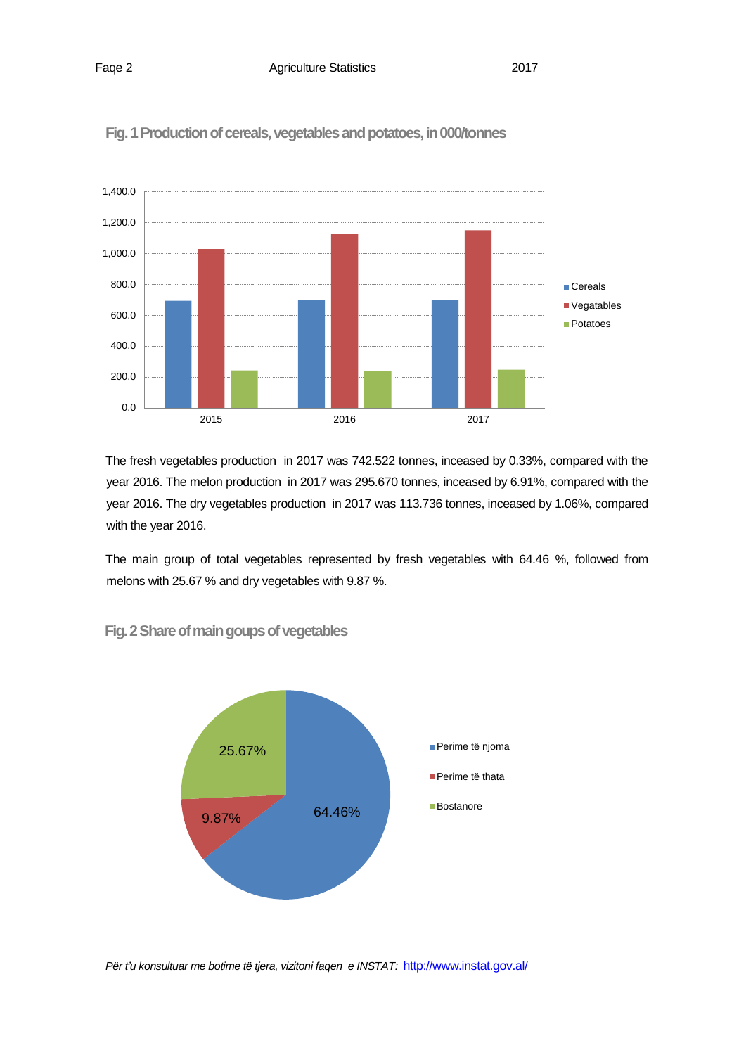

Fig. 1 Production of cereals, vegetables and potatoes, in 000/tonnes

The fresh vegetables production in 2017 was 742.522 tonnes, inceased by 0.33%, compared with the year 2016. The melon production in 2017 was 295.670 tonnes, inceased by 6.91%, compared with the year 2016. The dry vegetables production in 2017 was 113.736 tonnes, inceased by 1.06%, compared with the year 2016.

The main group of total vegetables represented by fresh vegetables with 64.46 %, followed from melons with 25.67 % and dry vegetables with 9.87 %.



## **Fig. 2Share of main goups of vegetables**

*Për t'u konsultuar me botime të tjera, vizitoni faqen e INSTAT:* http://www.instat.gov.al/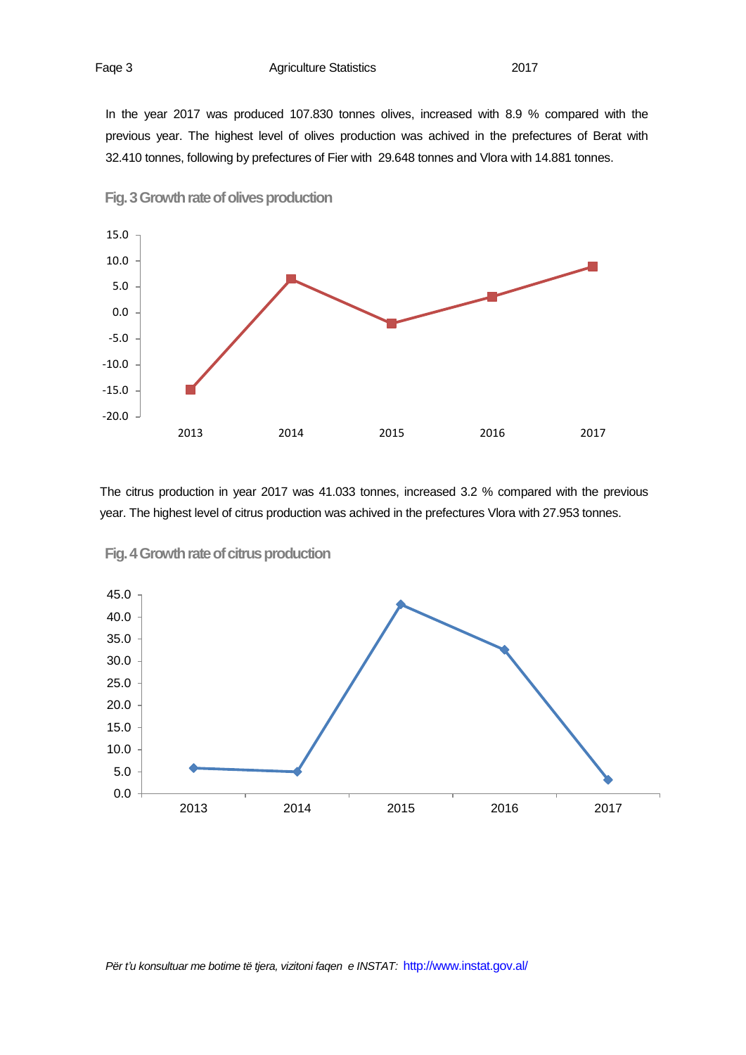In the year 2017 was produced 107.830 tonnes olives, increased with 8.9 % compared with the previous year. The highest level of olives production was achived in the prefectures of Berat with 32.410 tonnes, following by prefectures of Fier with 29.648 tonnes and Vlora with 14.881 tonnes.



**Fig. 3 Growth rate of olives production** 

The citrus production in year 2017 was 41.033 tonnes, increased 3.2 % compared with the previous year. The highest level of citrus production was achived in the prefectures Vlora with 27.953 tonnes.



**Fig. 4Growth rate of citrus production**

*Për t'u konsultuar me botime të tjera, vizitoni faqen e INSTAT:* http://www.instat.gov.al/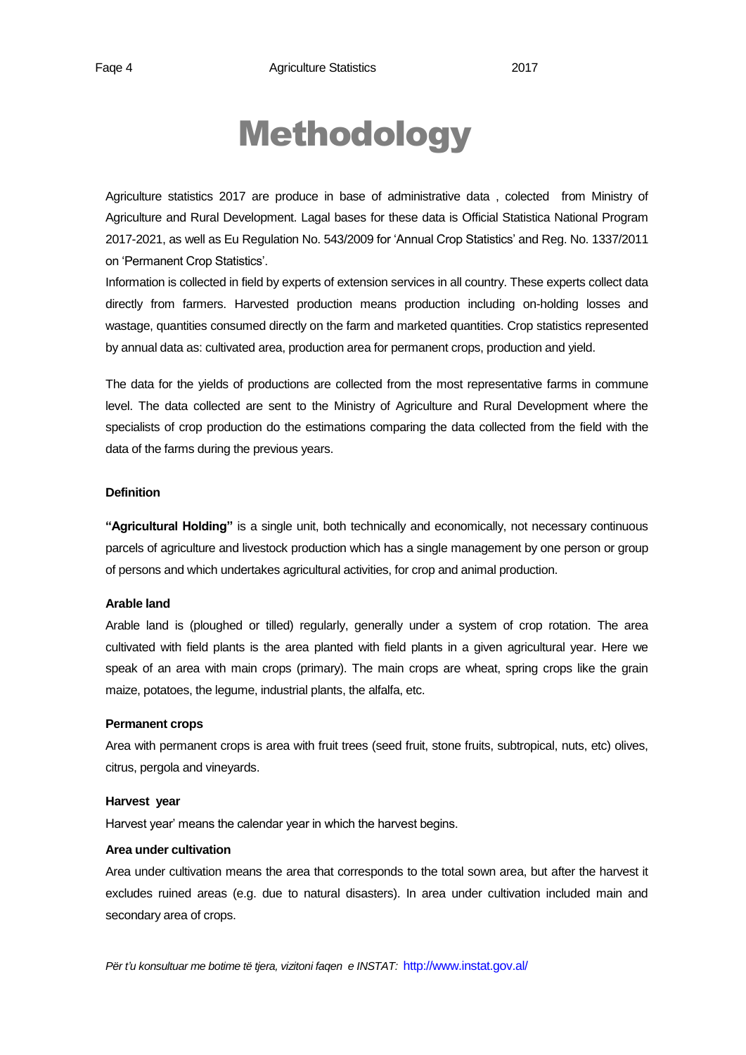# Methodology

Agriculture statistics 2017 are produce in base of administrative data , colected from Ministry of Agriculture and Rural Development. Lagal bases for these data is Official Statistica National Program 2017-2021, as well as Eu Regulation No. 543/2009 for 'Annual Crop Statistics' and Reg. No. 1337/2011 on 'Permanent Crop Statistics'.

Information is collected in field by experts of extension services in all country. These experts collect data directly from farmers. Harvested production means production including on-holding losses and wastage, quantities consumed directly on the farm and marketed quantities. Crop statistics represented by annual data as: cultivated area, production area for permanent crops, production and yield.

The data for the yields of productions are collected from the most representative farms in commune level. The data collected are sent to the Ministry of Agriculture and Rural Development where the specialists of crop production do the estimations comparing the data collected from the field with the data of the farms during the previous years.

#### **Definition**

**"Agricultural Holding"** is a single unit, both technically and economically, not necessary continuous parcels of agriculture and livestock production which has a single management by one person or group of persons and which undertakes agricultural activities, for crop and animal production.

### **Arable land**

Arable land is (ploughed or tilled) regularly, generally under a system of crop rotation. The area cultivated with field plants is the area planted with field plants in a given agricultural year. Here we speak of an area with main crops (primary). The main crops are wheat, spring crops like the grain maize, potatoes, the legume, industrial plants, the alfalfa, etc.

#### **Permanent crops**

Area with permanent crops is area with fruit trees (seed fruit, stone fruits, subtropical, nuts, etc) olives, citrus, pergola and vineyards.

#### **Harvest year**

Harvest year' means the calendar year in which the harvest begins.

#### **Area under cultivation**

Area under cultivation means the area that corresponds to the total sown area, but after the harvest it excludes ruined areas (e.g. due to natural disasters). In area under cultivation included main and secondary area of crops.

*Për t'u konsultuar me botime të tjera, vizitoni faqen e INSTAT:* http://www.instat.gov.al/